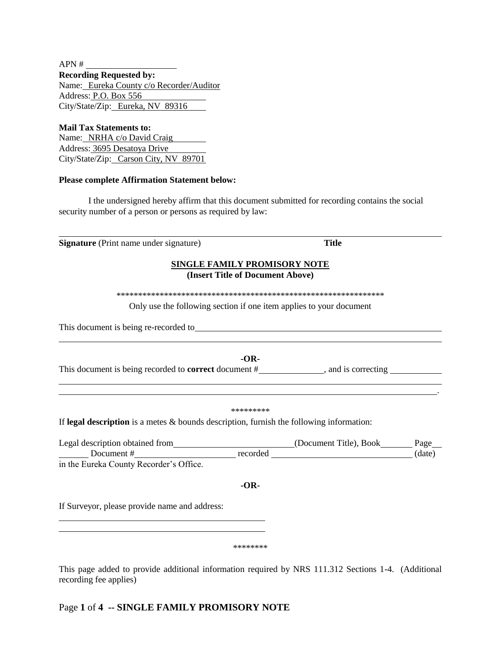APN # **Recording Requested by:** Name: Eureka County c/o Recorder/Auditor Address: P.O. Box 556 City/State/Zip: Eureka, NV 89316

**Mail Tax Statements to:** Name: NRHA c/o David Craig Address: 3695 Desatoya Drive City/State/Zip: Carson City, NV 89701

#### **Please complete Affirmation Statement below:**

I the undersigned hereby affirm that this document submitted for recording contains the social security number of a person or persons as required by law:

**Signature** (Print name under signature) **Title** 

**SINGLE FAMILY PROMISORY NOTE**

### **(Insert Title of Document Above)**

\*\*\*\*\*\*\*\*\*\*\*\*\*\*\*\*\*\*\*\*\*\*\*\*\*\*\*\*\*\*\*\*\*\*\*\*\*\*\*\*\*\*\*\*\*\*\*\*\*\*\*\*\*\*\*\*\*\*\*\*\*\*

Only use the following section if one item applies to your document

This document is being re-recorded to

**-OR-**This document is being recorded to **correct** document # , and is correcting

#### \*\*\*\*\*\*\*\*\*

.

If **legal description** is a metes & bounds description, furnish the following information:

Legal description obtained from (Document Title), Book Page  $\frac{1}{\sqrt{1-\frac{1}{\sqrt{1-\frac{1}{\sqrt{1-\frac{1}{\sqrt{1-\frac{1}{\sqrt{1-\frac{1}{\sqrt{1-\frac{1}{\sqrt{1-\frac{1}{\sqrt{1-\frac{1}{\sqrt{1-\frac{1}{\sqrt{1-\frac{1}{\sqrt{1-\frac{1}{\sqrt{1-\frac{1}{\sqrt{1-\frac{1}{\sqrt{1-\frac{1}{\sqrt{1-\frac{1}{\sqrt{1-\frac{1}{\sqrt{1-\frac{1}{\sqrt{1-\frac{1}{\sqrt{1-\frac{1}{\sqrt{1-\frac{1}{\sqrt{1-\frac{1}{\sqrt{1-\frac{1}{\sqrt{1-\frac{1}{\sqrt{1-\frac{1$ in the Eureka County Recorder's Office.

**-OR-**

If Surveyor, please provide name and address:

#### \*\*\*\*\*\*\*\*

This page added to provide additional information required by NRS 111.312 Sections 1-4. (Additional recording fee applies)

### Page **1** of **4 -- SINGLE FAMILY PROMISORY NOTE**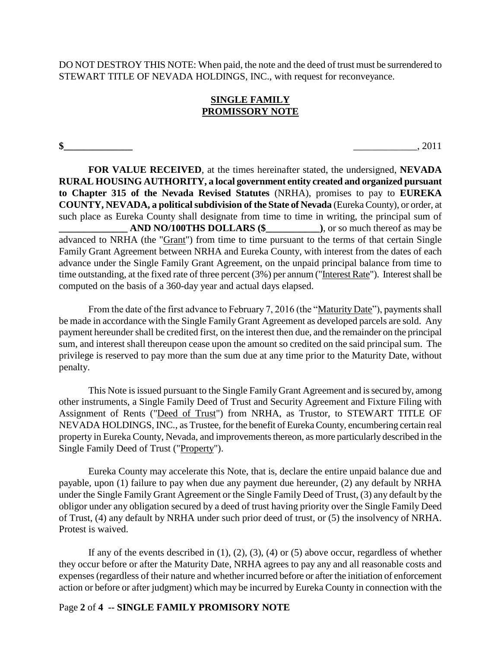DO NOT DESTROY THIS NOTE: When paid, the note and the deed of trust must be surrendered to STEWART TITLE OF NEVADA HOLDINGS, INC., with request for reconveyance.

# **SINGLE FAMILY PROMISSORY NOTE**

**\$\_\_\_\_\_\_\_\_\_\_\_\_\_\_** \_\_\_\_\_\_\_\_\_\_\_\_\_, 2011

**FOR VALUE RECEIVED**, at the times hereinafter stated, the undersigned, **NEVADA RURAL HOUSING AUTHORITY, a local government entity created and organized pursuant to Chapter 315 of the Nevada Revised Statutes** (NRHA), promises to pay to **EUREKA COUNTY, NEVADA, a political subdivision of the State of Nevada** (Eureka County), or order, at such place as Eureka County shall designate from time to time in writing, the principal sum of AND NO/100THS DOLLARS (\$\_\_\_\_\_\_\_\_\_\_\_\_\_\_), or so much thereof as may be advanced to NRHA (the "Grant") from time to time pursuant to the terms of that certain Single Family Grant Agreement between NRHA and Eureka County, with interest from the dates of each advance under the Single Family Grant Agreement, on the unpaid principal balance from time to time outstanding, at the fixed rate of three percent (3%) per annum ("Interest Rate"). Interest shall be computed on the basis of a 360-day year and actual days elapsed.

From the date of the first advance to February 7, 2016 (the "Maturity Date"), payments shall be made in accordance with the Single Family Grant Agreement as developed parcels are sold. Any payment hereunder shall be credited first, on the interest then due, and the remainder on the principal sum, and interest shall thereupon cease upon the amount so credited on the said principal sum. The privilege is reserved to pay more than the sum due at any time prior to the Maturity Date, without penalty.

This Note is issued pursuant to the Single Family Grant Agreement and is secured by, among other instruments, a Single Family Deed of Trust and Security Agreement and Fixture Filing with Assignment of Rents ("Deed of Trust") from NRHA, as Trustor, to STEWART TITLE OF NEVADA HOLDINGS, INC., as Trustee, for the benefit of Eureka County, encumbering certain real property in Eureka County, Nevada, and improvements thereon, as more particularly described in the Single Family Deed of Trust ("Property").

Eureka County may accelerate this Note, that is, declare the entire unpaid balance due and payable, upon (1) failure to pay when due any payment due hereunder, (2) any default by NRHA under the Single Family Grant Agreement or the Single Family Deed of Trust, (3) any default by the obligor under any obligation secured by a deed of trust having priority over the Single Family Deed of Trust, (4) any default by NRHA under such prior deed of trust, or (5) the insolvency of NRHA. Protest is waived.

If any of the events described in  $(1)$ ,  $(2)$ ,  $(3)$ ,  $(4)$  or  $(5)$  above occur, regardless of whether they occur before or after the Maturity Date, NRHA agrees to pay any and all reasonable costs and expenses (regardless of their nature and whether incurred before or after the initiation of enforcement action or before or after judgment) which may be incurred by Eureka County in connection with the

# Page **2** of **4 -- SINGLE FAMILY PROMISORY NOTE**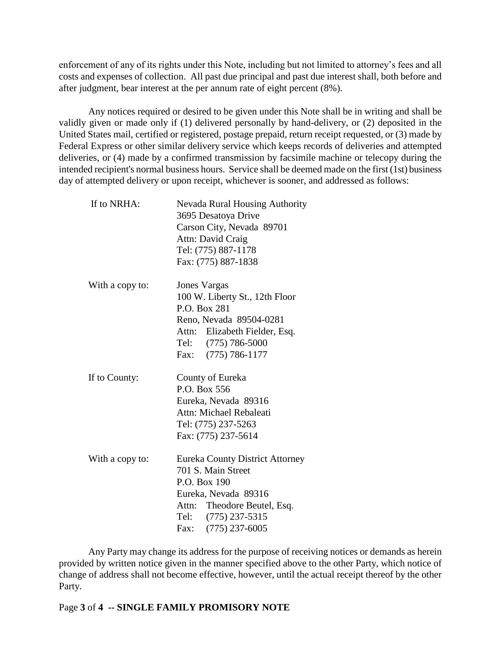enforcement of any of its rights under this Note, including but not limited to attorney's fees and all costs and expenses of collection. All past due principal and past due interest shall, both before and after judgment, bear interest at the per annum rate of eight percent (8%).

Any notices required or desired to be given under this Note shall be in writing and shall be validly given or made only if (1) delivered personally by hand-delivery, or (2) deposited in the United States mail, certified or registered, postage prepaid, return receipt requested, or (3) made by Federal Express or other similar delivery service which keeps records of deliveries and attempted deliveries, or (4) made by a confirmed transmission by facsimile machine or telecopy during the intended recipient's normal business hours. Service shall be deemed made on the first (1st) business day of attempted delivery or upon receipt, whichever is sooner, and addressed as follows:

| If to NRHA:     | <b>Nevada Rural Housing Authority</b><br>3695 Desatoya Drive<br>Carson City, Nevada 89701<br>Attn: David Craig<br>Tel: (775) 887-1178<br>Fax: (775) 887-1838                      |
|-----------------|-----------------------------------------------------------------------------------------------------------------------------------------------------------------------------------|
| With a copy to: | <b>Jones Vargas</b><br>100 W. Liberty St., 12th Floor<br>P.O. Box 281<br>Reno, Nevada 89504-0281<br>Attn: Elizabeth Fielder, Esq.<br>Tel: (775) 786-5000<br>Fax: (775) 786-1177   |
| If to County:   | County of Eureka<br>P.O. Box 556<br>Eureka, Nevada 89316<br>Attn: Michael Rebaleati<br>Tel: (775) 237-5263<br>Fax: (775) 237-5614                                                 |
| With a copy to: | <b>Eureka County District Attorney</b><br>701 S. Main Street<br>P.O. Box 190<br>Eureka, Nevada 89316<br>Attn: Theodore Beutel, Esq.<br>Tel: (775) 237-5315<br>Fax: (775) 237-6005 |

Any Party may change its address for the purpose of receiving notices or demands as herein provided by written notice given in the manner specified above to the other Party, which notice of change of address shall not become effective, however, until the actual receipt thereof by the other Party.